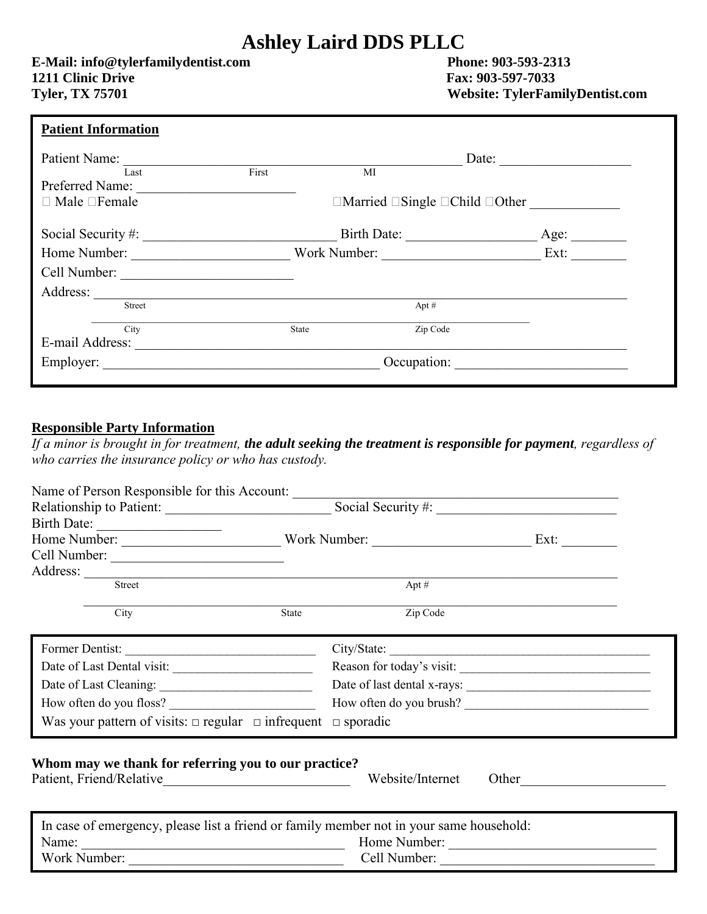## **Ashley Laird DDS PLLC**

**E-Mail: info@tylerfamilydentist.com Phone: 903-593-2313 1211 Clinic Drive Fax: 903-597-7033 Tyler, TX 75701 Website: TylerFamilyDentist.com**

| <b>Patient Information</b> |                                                        |          |             |
|----------------------------|--------------------------------------------------------|----------|-------------|
| Patient Name:              | Date:                                                  |          |             |
| Last                       | First                                                  | MI       |             |
| Preferred Name:            |                                                        |          |             |
| $\Box$ Male $\Box$ Female  | $\Box$ Married $\Box$ Single $\Box$ Child $\Box$ Other |          |             |
|                            |                                                        |          |             |
|                            | Birth Date:                                            |          | Age: $\_\_$ |
|                            |                                                        |          |             |
| Cell Number:               |                                                        |          |             |
|                            |                                                        |          |             |
| <b>Street</b>              |                                                        | Apt $#$  |             |
| City                       | State                                                  | Zip Code |             |
|                            |                                                        |          |             |
| Employer:                  | Occupation:                                            |          |             |
|                            |                                                        |          |             |

#### **Responsible Party Information**

*If a minor is brought in for treatment, the adult seeking the treatment is responsible for payment, regardless of who carries the insurance policy or who has custody.* 

|                                                                                                                                                                                                                                      | Name of Person Responsible for this Account: |                           |                        |  |  |
|--------------------------------------------------------------------------------------------------------------------------------------------------------------------------------------------------------------------------------------|----------------------------------------------|---------------------------|------------------------|--|--|
|                                                                                                                                                                                                                                      |                                              |                           |                        |  |  |
|                                                                                                                                                                                                                                      |                                              |                           |                        |  |  |
|                                                                                                                                                                                                                                      |                                              |                           |                        |  |  |
|                                                                                                                                                                                                                                      |                                              |                           |                        |  |  |
|                                                                                                                                                                                                                                      |                                              |                           |                        |  |  |
| Address: <u>Street Street Street Street Street Street Street Street Street Street Street Street Street Street Street Street Street Street Street Street Street Street Street Street Street Street Street Street Street Street St</u> |                                              | Apt $#$                   |                        |  |  |
| City                                                                                                                                                                                                                                 | State                                        | $\overline{Zip Code}$     |                        |  |  |
| Former Dentist:                                                                                                                                                                                                                      |                                              |                           |                        |  |  |
| Date of Last Dental visit:                                                                                                                                                                                                           |                                              | Reason for today's visit: |                        |  |  |
|                                                                                                                                                                                                                                      |                                              |                           |                        |  |  |
| How often do you floss?                                                                                                                                                                                                              |                                              | How often do you brush?   |                        |  |  |
| Was your pattern of visits: $\Box$ regular $\Box$ infrequent $\Box$ sporadic                                                                                                                                                         |                                              |                           |                        |  |  |
| Whom may we thank for referring you to our practice?<br>Patient, Friend/Relative                                                                                                                                                     |                                              |                           | Website/Internet Other |  |  |
| In case of emergency, please list a friend or family member not in your same household:<br>Name:                                                                                                                                     |                                              | Home Number:              |                        |  |  |
| Work Number:                                                                                                                                                                                                                         |                                              | Cell Number:              |                        |  |  |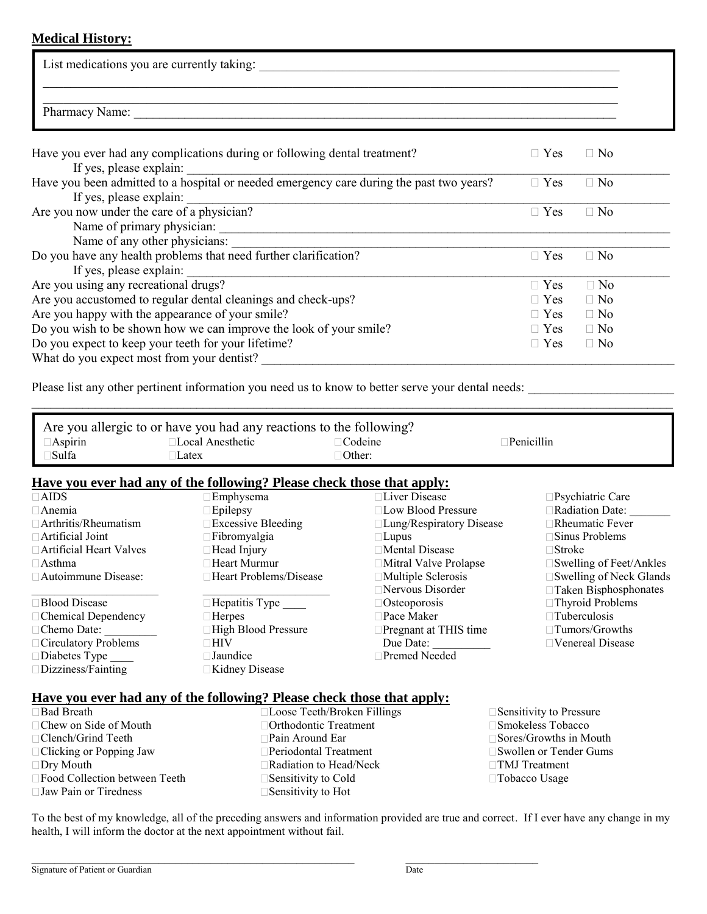### **Medical History:**

| List medications you are currently taking:                                               |            |           |  |
|------------------------------------------------------------------------------------------|------------|-----------|--|
|                                                                                          |            |           |  |
| Pharmacy Name:                                                                           |            |           |  |
| Have you ever had any complications during or following dental treatment?                | $\Box$ Yes | $\Box$ No |  |
| If yes, please explain:                                                                  |            |           |  |
| Have you been admitted to a hospital or needed emergency care during the past two years? | $\Box$ Yes | $\Box$ No |  |
| If yes, please explain:                                                                  |            |           |  |
| Are you now under the care of a physician?<br>$\Box$ Yes                                 |            | $\Box$ No |  |
| Name of primary physician:                                                               |            |           |  |
| Name of any other physicians:                                                            |            |           |  |
| Do you have any health problems that need further clarification?<br>$\Box$ Yes           |            | $\Box$ No |  |
| If yes, please explain:                                                                  |            |           |  |
| Are you using any recreational drugs?                                                    | $\Box$ Yes | $\Box$ No |  |
| Are you accustomed to regular dental cleanings and check-ups?                            | $\Box$ Yes | $\Box$ No |  |
| Are you happy with the appearance of your smile?                                         | $\Box$ Yes | $\Box$ No |  |
| Do you wish to be shown how we can improve the look of your smile?                       | $\Box$ Yes | $\Box$ No |  |
| Do you expect to keep your teeth for your lifetime?<br>$\Box$ Yes                        |            | $\Box$ No |  |
| What do you expect most from your dentist?                                               |            |           |  |

Please list any other pertinent information you need us to know to better serve your dental needs: \_\_\_\_\_\_\_\_\_\_\_\_\_\_\_\_\_\_\_\_\_\_\_

| Are you allergic to or have you had any reactions to the following?<br>□Local Anesthetic<br>$\Box$ Penicillin<br>$\Box$ Codeine<br>$\Box$ Aspirin |                              |                              |                                   |  |
|---------------------------------------------------------------------------------------------------------------------------------------------------|------------------------------|------------------------------|-----------------------------------|--|
| Sulfa                                                                                                                                             | $\Box$ Latex                 | $\exists$ Other:             |                                   |  |
|                                                                                                                                                   |                              |                              |                                   |  |
| <u>Have you ever had any of the following? Please check those that apply:</u>                                                                     |                              |                              |                                   |  |
| $\Box$ AIDS                                                                                                                                       | Emphysema                    | □Liver Disease               | $\square$ Psychiatric Care        |  |
| $\Box$ Anemia                                                                                                                                     | $\Box$ Epilepsy              | □Low Blood Pressure          | Radiation Date:                   |  |
| $\Box$ Arthritis/Rheumatism                                                                                                                       | $\Box$ Excessive Bleeding    | □Lung/Respiratory Disease    | Rheumatic Fever                   |  |
| $\Box$ Artificial Joint                                                                                                                           | $\Box$ Fibromyalgia          | $\Box$ Lupus                 | Sinus Problems                    |  |
| $\Box$ Artificial Heart Valves                                                                                                                    | $\Box$ Head Injury           | $\Box$ Mental Disease        | $\Box$ Stroke                     |  |
| $\Box$ Asthma                                                                                                                                     | □Heart Murmur                | □Mitral Valve Prolapse       | $\square$ Swelling of Feet/Ankles |  |
| □ Autoimmune Disease:                                                                                                                             | □Heart Problems/Disease      | $\Box$ Multiple Sclerosis    | $\square$ Swelling of Neck Glands |  |
|                                                                                                                                                   |                              | $\Box$ Nervous Disorder      | □ Taken Bisphosphonates           |  |
| □Blood Disease                                                                                                                                    | $\Box$ Hepatitis Type $\_\_$ | $\Box$ Osteoporosis          | □Thyroid Problems                 |  |
| $\Box$ Chemical Dependency                                                                                                                        | $\Box$ Herpes                | $\Box$ Pace Maker            | $\Box$ Tuberculosis               |  |
| $\Box$ Chemo Date:                                                                                                                                | □High Blood Pressure         | $\Box$ Pregnant at THIS time | $\Box$ Tumors/Growths             |  |
| □ Circulatory Problems                                                                                                                            | $\Box$ HIV                   | Due Date:                    | $\Box$ Venereal Disease           |  |
| $\square$ Diabetes Type                                                                                                                           | <b>Jaundice</b>              | Premed Needed                |                                   |  |
| $\square$ Dizziness/Fainting                                                                                                                      | Kidney Disease               |                              |                                   |  |

\_\_\_\_\_\_\_\_\_\_\_\_\_\_\_\_\_\_\_\_\_\_\_\_\_\_\_\_\_\_\_\_\_\_\_\_\_\_\_\_\_\_\_\_\_\_\_\_\_\_\_\_\_\_\_\_\_\_\_\_\_\_\_\_\_\_\_\_\_\_\_\_\_\_\_\_\_\_\_\_\_\_\_\_\_\_\_\_\_\_\_\_\_\_\_\_\_\_\_\_\_

#### **Have you ever had any of the following? Please check those that apply:**

| □ Bad Breath                            | □Loose Teeth/Broken Fillings  | ΠŞ       |
|-----------------------------------------|-------------------------------|----------|
| $\Box$ Chew on Side of Mouth            | $\Box$ Orthodontic Treatment  | ΠŞ       |
| $\Box$ Clench/Grind Teeth               | $\Box$ Pain Around Ear        | $\Box$ S |
| $\Box$ Clicking or Popping Jaw          | $\Box$ Periodontal Treatment  | ΠŞ       |
| $\Box$ Dry Mouth                        | Radiation to Head/Neck        | $\Box$ 1 |
| $\square$ Food Collection between Teeth | $\square$ Sensitivity to Cold | $\Box$ 1 |
| $\square$ Jaw Pain or Tiredness         | $\square$ Sensitivity to Hot  |          |

Sensitivity to Pressure Smokeless Tobacco Sores/Growths in Mouth Swollen or Tender Gums TMJ Treatment Tobacco Usage

To the best of my knowledge, all of the preceding answers and information provided are true and correct. If I ever have any change in my health, I will inform the doctor at the next appointment without fail.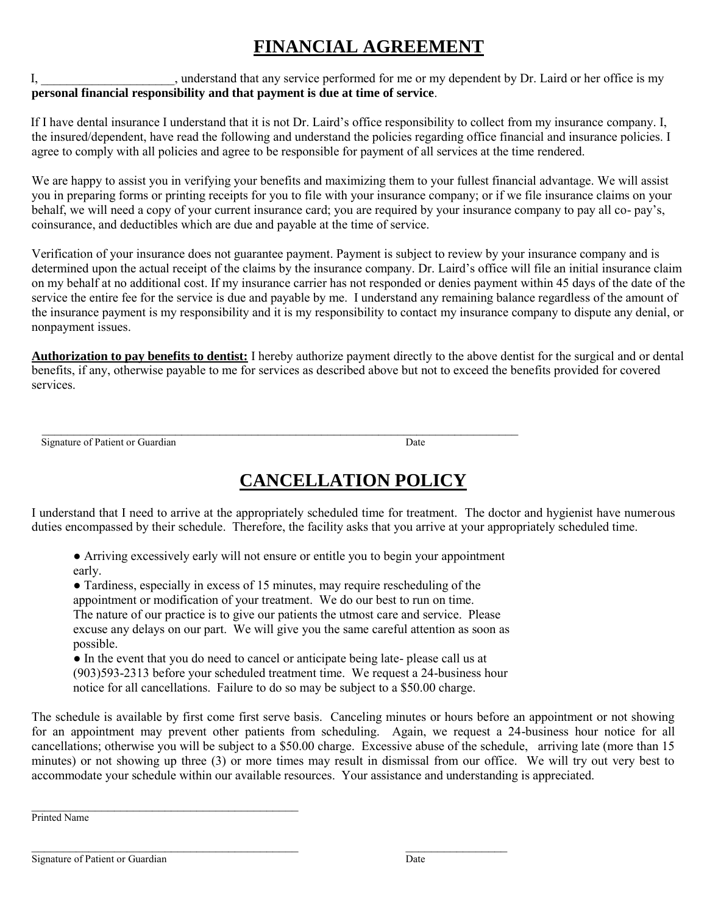### **FINANCIAL AGREEMENT**

I, understand that any service performed for me or my dependent by Dr. Laird or her office is my **personal financial responsibility and that payment is due at time of service**.

 If I have dental insurance I understand that it is not Dr. Laird's office responsibility to collect from my insurance company. I, the insured/dependent, have read the following and understand the policies regarding office financial and insurance policies. I agree to comply with all policies and agree to be responsible for payment of all services at the time rendered.

We are happy to assist you in verifying your benefits and maximizing them to your fullest financial advantage. We will assist you in preparing forms or printing receipts for you to file with your insurance company; or if we file insurance claims on your behalf, we will need a copy of your current insurance card; you are required by your insurance company to pay all co- pay's, coinsurance, and deductibles which are due and payable at the time of service.

Verification of your insurance does not guarantee payment. Payment is subject to review by your insurance company and is determined upon the actual receipt of the claims by the insurance company. Dr. Laird's office will file an initial insurance claim on my behalf at no additional cost. If my insurance carrier has not responded or denies payment within 45 days of the date of the service the entire fee for the service is due and payable by me. I understand any remaining balance regardless of the amount of the insurance payment is my responsibility and it is my responsibility to contact my insurance company to dispute any denial, or nonpayment issues.

**Authorization to pay benefits to dentist:** I hereby authorize payment directly to the above dentist for the surgical and or dental benefits, if any, otherwise payable to me for services as described above but not to exceed the benefits provided for covered services.

\_\_\_\_\_\_\_\_\_\_\_\_\_\_\_\_\_\_\_\_\_\_\_\_\_\_\_\_\_\_\_\_\_\_\_\_\_\_\_\_\_\_\_\_\_\_\_\_\_\_\_\_\_\_\_\_\_\_\_\_\_\_\_\_\_\_\_\_\_\_\_\_\_\_\_ Signature of Patient or Guardian Date **Date** 

# **CANCELLATION POLICY**

I understand that I need to arrive at the appropriately scheduled time for treatment. The doctor and hygienist have numerous duties encompassed by their schedule. Therefore, the facility asks that you arrive at your appropriately scheduled time.

● Arriving excessively early will not ensure or entitle you to begin your appointment early.

● Tardiness, especially in excess of 15 minutes, may require rescheduling of the appointment or modification of your treatment. We do our best to run on time. The nature of our practice is to give our patients the utmost care and service. Please excuse any delays on our part. We will give you the same careful attention as soon as possible.

● In the event that you do need to cancel or anticipate being late- please call us at (903)593-2313 before your scheduled treatment time. We request a 24-business hour notice for all cancellations. Failure to do so may be subject to a \$50.00 charge.

\_\_\_\_\_\_\_\_\_\_\_\_\_\_\_\_\_\_\_\_\_\_\_\_\_\_\_\_\_\_\_\_\_\_\_\_\_\_\_\_\_\_ \_\_\_\_\_\_\_\_\_\_\_\_\_\_\_\_

The schedule is available by first come first serve basis. Canceling minutes or hours before an appointment or not showing for an appointment may prevent other patients from scheduling. Again, we request a 24-business hour notice for all cancellations; otherwise you will be subject to a \$50.00 charge. Excessive abuse of the schedule, arriving late (more than 15 minutes) or not showing up three (3) or more times may result in dismissal from our office. We will try out very best to accommodate your schedule within our available resources. Your assistance and understanding is appreciated.

Printed Name

\_\_\_\_\_\_\_\_\_\_\_\_\_\_\_\_\_\_\_\_\_\_\_\_\_\_\_\_\_\_\_\_\_\_\_\_\_\_\_\_\_\_

Signature of Patient or Guardian Date